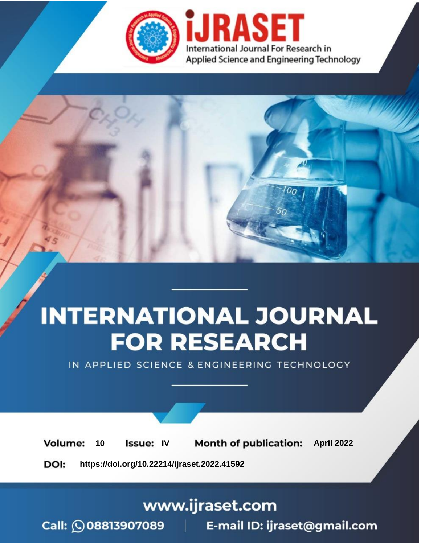

# **INTERNATIONAL JOURNAL FOR RESEARCH**

IN APPLIED SCIENCE & ENGINEERING TECHNOLOGY

10 **Issue: IV Month of publication:** April 2022 **Volume:** 

**https://doi.org/10.22214/ijraset.2022.41592**DOI:

www.ijraset.com

Call: 008813907089 | E-mail ID: ijraset@gmail.com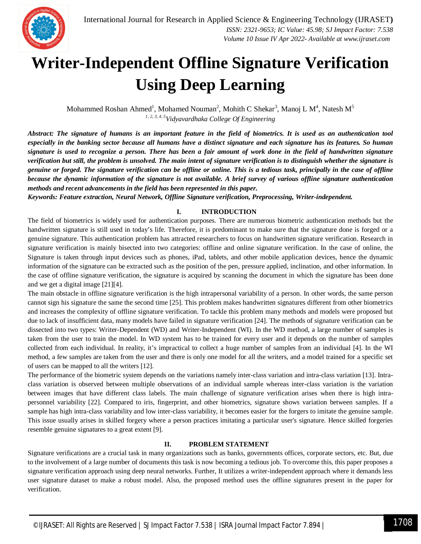### **Writer-Independent Offline Signature Verification Using Deep Learning**

Mohammed Roshan Ahmed $^1$ , Mohamed Nouman $^2$ , Mohith C Shekar $^3$ , Manoj L M $^4$ , Natesh M $^5$ *1, 2, 3, 4, 5Vidyavardhaka College Of Engineering*

*Abstract: The signature of humans is an important feature in the field of biometrics. It is used as an authentication tool especially in the banking sector because all humans have a distinct signature and each signature has its features. So human signature is used to recognize a person. There has been a fair amount of work done in the field of handwritten signature verification but still, the problem is unsolved. The main intent of signature verification is to distinguish whether the signature is genuine or forged. The signature verification can be offline or online. This is a tedious task, principally in the case of offline because the dynamic information of the signature is not available. A brief survey of various offline signature authentication methods and recent advancements in the field has been represented in this paper.*

*Keywords: Feature extraction, Neural Network, Offline Signature verification, Preprocessing, Writer-independent.*

#### **I. INTRODUCTION**

The field of biometrics is widely used for authentication purposes. There are numerous biometric authentication methods but the handwritten signature is still used in today's life. Therefore, it is predominant to make sure that the signature done is forged or a genuine signature. This authentication problem has attracted researchers to focus on handwritten signature verification. Research in signature verification is mainly bisected into two categories: offline and online signature verification. In the case of online, the Signature is taken through input devices such as phones, iPad, tablets, and other mobile application devices, hence the dynamic information of the signature can be extracted such as the position of the pen, pressure applied, inclination, and other information. In the case of offline signature verification, the signature is acquired by scanning the document in which the signature has been done and we get a digital image [21][4].

The main obstacle in offline signature verification is the high intrapersonal variability of a person. In other words, the same person cannot sign his signature the same the second time [25]. This problem makes handwritten signatures different from other biometrics and increases the complexity of offline signature verification. To tackle this problem many methods and models were proposed but due to lack of insufficient data, many models have failed in signature verification [24]. The methods of signature verification can be dissected into two types: Writer-Dependent (WD) and Writer-Independent (WI). In the WD method, a large number of samples is taken from the user to train the model. In WD system has to be trained for every user and it depends on the number of samples collected from each individual. In reality, it's impractical to collect a huge number of samples from an individual [4]. In the WI method, a few samples are taken from the user and there is only one model for all the writers, and a model trained for a specific set of users can be mapped to all the writers [12].

The performance of the biometric system depends on the variations namely inter-class variation and intra-class variation [13]. Intraclass variation is observed between multiple observations of an individual sample whereas inter-class variation is the variation between images that have different class labels. The main challenge of signature verification arises when there is high intrapersonnel variability [22]. Compared to iris, fingerprint, and other biometrics, signature shows variation between samples. If a sample has high intra-class variability and low inter-class variability, it becomes easier for the forgers to imitate the genuine sample. This issue usually arises in skilled forgery where a person practices imitating a particular user's signature. Hence skilled forgeries resemble genuine signatures to a great extent [9].

#### **II. PROBLEM STATEMENT**

Signature verifications are a crucial task in many organizations such as banks, governments offices, corporate sectors, etc. But, due to the involvement of a large number of documents this task is now becoming a tedious job. To overcome this, this paper proposes a signature verification approach using deep neural networks. Further, It utilizes a writer-independent approach where it demands less user signature dataset to make a robust model. Also, the proposed method uses the offline signatures present in the paper for verification.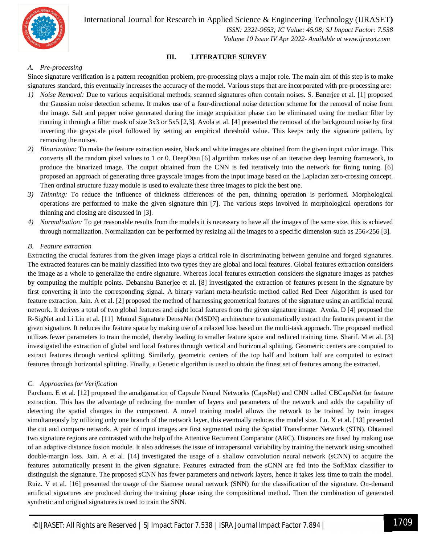

International Journal for Research in Applied Science & Engineering Technology (IJRASET**)**

 *ISSN: 2321-9653; IC Value: 45.98; SJ Impact Factor: 7.538 Volume 10 Issue IV Apr 2022- Available at www.ijraset.com*

#### **III. LITERATURE SURVEY**

#### *A. Pre-processing*

Since signature verification is a pattern recognition problem, pre-processing plays a major role. The main aim of this step is to make signatures standard, this eventually increases the accuracy of the model. Various steps that are incorporated with pre-processing are:

- *1) Noise Removal:* Due to various acquisitional methods, scanned signatures often contain noises. S. Banerjee et al. [1] proposed the Gaussian noise detection scheme. It makes use of a four-directional noise detection scheme for the removal of noise from the image. Salt and pepper noise generated during the image acquisition phase can be eliminated using the median filter by running it through a filter mask of size 3x3 or 5x5 [2,3]. Avola et al. [4] presented the removal of the background noise by first inverting the grayscale pixel followed by setting an empirical threshold value. This keeps only the signature pattern, by removing the noises.
- *2) Binarization:* To make the feature extraction easier, black and white images are obtained from the given input color image. This converts all the random pixel values to 1 or 0. DeepOtsu [6] algorithm makes use of an iterative deep learning framework, to produce the binarized image. The output obtained from the CNN is fed iteratively into the network for fining tuning. [6] proposed an approach of generating three grayscale images from the input image based on the Laplacian zero-crossing concept. Then ordinal structure fuzzy module is used to evaluate these three images to pick the best one.
- *3) Thinning:* To reduce the influence of thickness differences of the pen, thinning operation is performed. Morphological operations are performed to make the given signature thin [7]. The various steps involved in morphological operations for thinning and closing are discussed in [3].
- *4) Normalization:* To get reasonable results from the models it is necessary to have all the images of the same size, this is achieved through normalization. Normalization can be performed by resizing all the images to a specific dimension such as  $256 \times 256$  [3].

#### *B. Feature extraction*

Extracting the crucial features from the given image plays a critical role in discriminating between genuine and forged signatures. The extracted features can be mainly classified into two types they are global and local features. Global features extraction considers the image as a whole to generalize the entire signature. Whereas local features extraction considers the signature images as patches by computing the multiple points. Debanshu Banerjee et al. [8] investigated the extraction of features present in the signature by first converting it into the corresponding signal. A binary variant meta-heuristic method called Red Deer Algorithm is used for feature extraction. Jain. A et al. [2] proposed the method of harnessing geometrical features of the signature using an artificial neural network. It derives a total of two global features and eight local features from the given signature image. Avola. D [4] proposed the R-SigNet and Li Liu et al. [11] Mutual Signature DenseNet (MSDN) architecture to automatically extract the features present in the given signature. It reduces the feature space by making use of a relaxed loss based on the multi-task approach. The proposed method utilizes fewer parameters to train the model, thereby leading to smaller feature space and reduced training time. Sharif. M et al. [3] investigated the extraction of global and local features through vertical and horizontal splitting. Geometric centers are computed to extract features through vertical splitting. Similarly, geometric centers of the top half and bottom half are computed to extract features through horizontal splitting. Finally, a Genetic algorithm is used to obtain the finest set of features among the extracted.

#### *C. Approaches for Verification*

Parcham. E et al. [12] proposed the amalgamation of Capsule Neural Networks (CapsNet) and CNN called CBCapsNet for feature extraction. This has the advantage of reducing the number of layers and parameters of the network and adds the capability of detecting the spatial changes in the component. A novel training model allows the network to be trained by twin images simultaneously by utilizing only one branch of the network layer, this eventually reduces the model size. Lu. X et al. [13] presented the cut and compare network. A pair of input images are first segmented using the Spatial Transformer Network (STN). Obtained two signature regions are contrasted with the help of the Attentive Recurrent Comparator (ARC). Distances are fused by making use of an adaptive distance fusion module. It also addresses the issue of intrapersonal variability by training the network using smoothed double-margin loss. Jain. A et al. [14] investigated the usage of a shallow convolution neural network (sCNN) to acquire the features automatically present in the given signature. Features extracted from the sCNN are fed into the SoftMax classifier to distinguish the signature. The proposed sCNN has fewer parameters and network layers, hence it takes less time to train the model. Ruiz. V et al. [16] presented the usage of the Siamese neural network (SNN) for the classification of the signature. On-demand artificial signatures are produced during the training phase using the compositional method. Then the combination of generated synthetic and original signatures is used to train the SNN.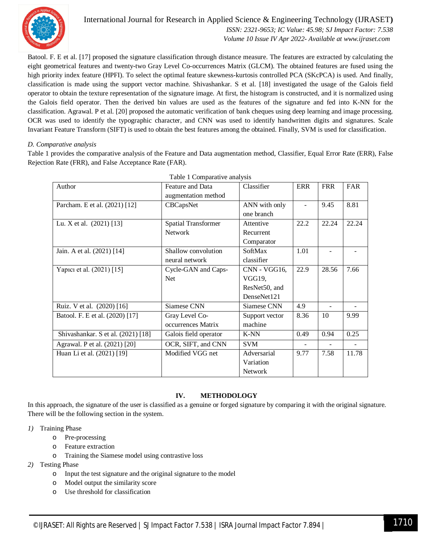

#### International Journal for Research in Applied Science & Engineering Technology (IJRASET**)**  *ISSN: 2321-9653; IC Value: 45.98; SJ Impact Factor: 7.538*

 *Volume 10 Issue IV Apr 2022- Available at www.ijraset.com*

Batool. F. E et al. [17] proposed the signature classification through distance measure. The features are extracted by calculating the eight geometrical features and twenty-two Gray Level Co-occurrences Matrix (GLCM). The obtained features are fused using the high priority index feature (HPFI). To select the optimal feature skewness-kurtosis controlled PCA (SKcPCA) is used. And finally, classification is made using the support vector machine. Shivashankar. S et al. [18] investigated the usage of the Galois field operator to obtain the texture representation of the signature image. At first, the histogram is constructed, and it is normalized using the Galois field operator. Then the derived bin values are used as the features of the signature and fed into K-NN for the classification. Agrawal. P et al. [20] proposed the automatic verification of bank cheques using deep learning and image processing. OCR was used to identify the typographic character, and CNN was used to identify handwritten digits and signatures. Scale Invariant Feature Transform (SIFT) is used to obtain the best features among the obtained. Finally, SVM is used for classification.

#### *D. Comparative analysis*

Table 1 provides the comparative analysis of the Feature and Data augmentation method, Classifier, Equal Error Rate (ERR), False Rejection Rate (FRR), and False Acceptance Rate (FAR).

| Table 1 Comparative analysis       |                            |                |      |            |       |
|------------------------------------|----------------------------|----------------|------|------------|-------|
| Author                             | Feature and Data           | Classifier     | ERR  | <b>FRR</b> | FAR   |
|                                    | augmentation method        |                |      |            |       |
| Parcham. E et al. (2021) [12]      | CBCapsNet                  | ANN with only  | ÷,   | 9.45       | 8.81  |
|                                    |                            | one branch     |      |            |       |
| Lu. X et al. $(2021)$ [13]         | <b>Spatial Transformer</b> | Attentive      | 22.2 | 22.24      | 22.24 |
|                                    | <b>Network</b>             | Recurrent      |      |            |       |
|                                    |                            | Comparator     |      |            |       |
| Jain. A et al. (2021) [14]         | Shallow convolution        | SoftMax        | 1.01 |            |       |
|                                    | neural network             | classifier     |      |            |       |
| Yapici et al. (2021) [15]          | Cycle-GAN and Caps-        | CNN - VGG16,   | 22.9 | 28.56      | 7.66  |
|                                    | <b>Net</b>                 | VGG19,         |      |            |       |
|                                    |                            | ResNet50, and  |      |            |       |
|                                    |                            | DenseNet121    |      |            |       |
| Ruiz. V et al. (2020) [16]         | Siamese CNN                | Siamese CNN    | 4.9  |            |       |
| Batool. F. E et al. (2020) [17]    | Gray Level Co-             | Support vector | 8.36 | 10         | 9.99  |
|                                    | occurrences Matrix         | machine        |      |            |       |
| Shivashankar. S et al. (2021) [18] | Galois field operator      | K-NN           | 0.49 | 0.94       | 0.25  |
| Agrawal. P et al. (2021) [20]      | OCR, SIFT, and CNN         | <b>SVM</b>     |      |            |       |
| Huan Li et al. (2021) [19]         | Modified VGG net           | Adversarial    | 9.77 | 7.58       | 11.78 |
|                                    |                            | Variation      |      |            |       |
|                                    |                            | <b>Network</b> |      |            |       |

|  | Table 1 Comparative analysis |  |
|--|------------------------------|--|
|  |                              |  |

#### **IV. METHODOLOGY**

In this approach, the signature of the user is classified as a genuine or forged signature by comparing it with the original signature. There will be the following section in the system.

- *1)* Training Phase
	- o Pre-processing
	- o Feature extraction
	- o Training the Siamese model using contrastive loss
- *2)* Testing Phase
	- o Input the test signature and the original signature to the model
	- o Model output the similarity score
	- o Use threshold for classification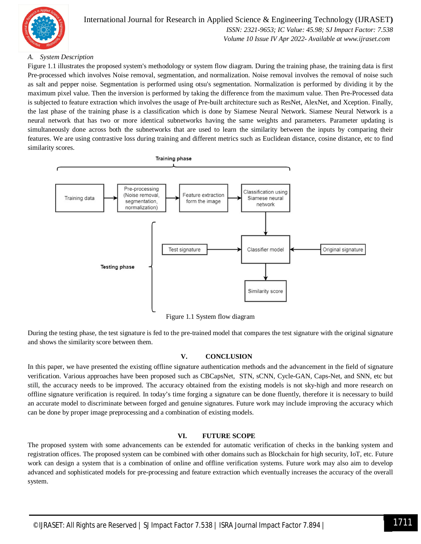

#### International Journal for Research in Applied Science & Engineering Technology (IJRASET**)**  *ISSN: 2321-9653; IC Value: 45.98; SJ Impact Factor: 7.538*

 *Volume 10 Issue IV Apr 2022- Available at www.ijraset.com*

#### *A. System Description*

Figure 1.1 illustrates the proposed system's methodology or system flow diagram. During the training phase, the training data is first Pre-processed which involves Noise removal, segmentation, and normalization. Noise removal involves the removal of noise such as salt and pepper noise. Segmentation is performed using otsu's segmentation. Normalization is performed by dividing it by the maximum pixel value. Then the inversion is performed by taking the difference from the maximum value. Then Pre-Processed data is subjected to feature extraction which involves the usage of Pre-built architecture such as ResNet, AlexNet, and Xception. Finally, the last phase of the training phase is a classification which is done by Siamese Neural Network. Siamese Neural Network is a neural network that has two or more identical subnetworks having the same weights and parameters. Parameter updating is simultaneously done across both the subnetworks that are used to learn the similarity between the inputs by comparing their features. We are using contrastive loss during training and different metrics such as Euclidean distance, cosine distance, etc to find similarity scores.



Figure 1.1 System flow diagram

During the testing phase, the test signature is fed to the pre-trained model that compares the test signature with the original signature and shows the similarity score between them.

#### **V. CONCLUSION**

In this paper, we have presented the existing offline signature authentication methods and the advancement in the field of signature verification. Various approaches have been proposed such as CBCapsNet, STN, sCNN, Cycle-GAN, Caps-Net, and SNN, etc but still, the accuracy needs to be improved. The accuracy obtained from the existing models is not sky-high and more research on offline signature verification is required. In today's time forging a signature can be done fluently, therefore it is necessary to build an accurate model to discriminate between forged and genuine signatures. Future work may include improving the accuracy which can be done by proper image preprocessing and a combination of existing models.

#### **VI. FUTURE SCOPE**

The proposed system with some advancements can be extended for automatic verification of checks in the banking system and registration offices. The proposed system can be combined with other domains such as Blockchain for high security, IoT, etc. Future work can design a system that is a combination of online and offline verification systems. Future work may also aim to develop advanced and sophisticated models for pre-processing and feature extraction which eventually increases the accuracy of the overall system.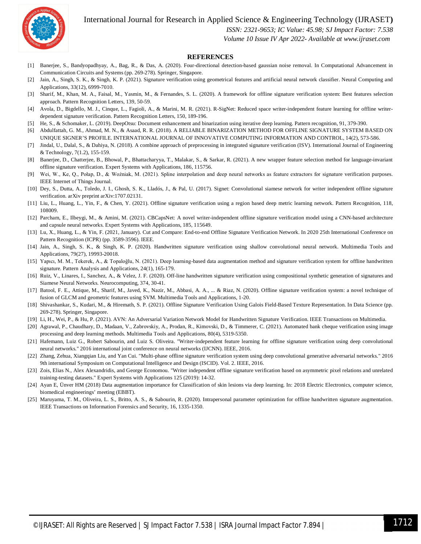International Journal for Research in Applied Science & Engineering Technology (IJRASET**)**



 *ISSN: 2321-9653; IC Value: 45.98; SJ Impact Factor: 7.538*

 *Volume 10 Issue IV Apr 2022- Available at www.ijraset.com*

#### **REFERENCES**

- [1] Banerjee, S., Bandyopadhyay, A., Bag, R., & Das, A. (2020). Four-directional detection-based gaussian noise removal. In Computational Advancement in Communication Circuits and Systems (pp. 269-278). Springer, Singapore.
- [2] Jain, A., Singh, S. K., & Singh, K. P. (2021). Signature verification using geometrical features and artificial neural network classifier. Neural Computing and Applications, 33(12), 6999-7010.
- [3] Sharif, M., Khan, M. A., Faisal, M., Yasmin, M., & Fernandes, S. L. (2020). A framework for offline signature verification system: Best features selection approach. Pattern Recognition Letters, 139, 50-59.
- [4] Avola, D., Bigdello, M. J., Cinque, L., Fagioli, A., & Marini, M. R. (2021). R-SigNet: Reduced space writer-independent feature learning for offline writerdependent signature verification. Pattern Recognition Letters, 150, 189-196.
- [5] He, S., & Schomaker, L. (2019). DeepOtsu: Document enhancement and binarization using iterative deep learning. Pattern recognition, 91, 379-390.
- [6] Abdulfattah, G. M., Ahmad, M. N., & Asaad, R. R. (2018). A RELIABLE BINARIZATION METHOD FOR OFFLINE SIGNATURE SYSTEM BASED ON UNIQUE SIGNER'S PROFILE. INTERNATIONAL JOURNAL OF INNOVATIVE COMPUTING INFORMATION AND CONTROL, 14(2), 573-586.
- [7] Jindal, U., Dalal, S., & Dahiya, N. (2018). A combine approach of preprocessing in integrated signature verification (ISV). International Journal of Engineering & Technology, 7(1.2), 155-159.
- [8] Banerjee, D., Chatterjee, B., Bhowal, P., Bhattacharyya, T., Malakar, S., & Sarkar, R. (2021). A new wrapper feature selection method for language-invariant offline signature verification. Expert Systems with Applications, 186, 115756.
- [9] Wei, W., Ke, Q., Połap, D., & Woźniak, M. (2021). Spline interpolation and deep neural networks as feature extractors for signature verification purposes. IEEE Internet of Things Journal.
- [10] Dey, S., Dutta, A., Toledo, J. I., Ghosh, S. K., Lladós, J., & Pal, U. (2017). Signet: Convolutional siamese network for writer independent offline signature verification. arXiv preprint arXiv:1707.02131.
- [11] Liu, L., Huang, L., Yin, F., & Chen, Y. (2021). Offline signature verification using a region based deep metric learning network. Pattern Recognition, 118, 108009.
- [12] Parcham, E., Ilbeygi, M., & Amini, M. (2021). CBCapsNet: A novel writer-independent offline signature verification model using a CNN-based architecture and capsule neural networks. Expert Systems with Applications, 185, 115649.
- [13] Lu, X., Huang, L., & Yin, F. (2021, January). Cut and Compare: End-to-end Offline Signature Verification Network. In 2020 25th International Conference on Pattern Recognition (ICPR) (pp. 3589-3596). IEEE.
- [14] Jain, A., Singh, S. K., & Singh, K. P. (2020). Handwritten signature verification using shallow convolutional neural network. Multimedia Tools and Applications, 79(27), 19993-20018.
- [15] Yapıcı, M. M., Tekerek, A., & Topaloğlu, N. (2021). Deep learning-based data augmentation method and signature verification system for offline handwritten signature. Pattern Analysis and Applications, 24(1), 165-179.
- [16] Ruiz, V., Linares, I., Sanchez, A., & Velez, J. F. (2020). Off-line handwritten signature verification using compositional synthetic generation of signatures and Siamese Neural Networks. Neurocomputing, 374, 30-41.
- [17] Batool, F. E., Attique, M., Sharif, M., Javed, K., Nazir, M., Abbasi, A. A., ... & Riaz, N. (2020). Offline signature verification system: a novel technique of fusion of GLCM and geometric features using SVM. Multimedia Tools and Applications, 1-20.
- [18] Shivashankar, S., Kudari, M., & Hiremath, S. P. (2021). Offline Signature Verification Using Galois Field-Based Texture Representation. In Data Science (pp. 269-278). Springer, Singapore.
- [19] Li, H., Wei, P., & Hu, P. (2021). AVN: An Adversarial Variation Network Model for Handwritten Signature Verification. IEEE Transactions on Multimedia.
- [20] Agrawal, P., Chaudhary, D., Madaan, V., Zabrovskiy, A., Prodan, R., Kimovski, D., & Timmerer, C. (2021). Automated bank cheque verification using image processing and deep learning methods. Multimedia Tools and Applications, 80(4), 5319-5350.
- [21] Hafemann, Luiz G., Robert Sabourin, and Luiz S. Oliveira. "Writer-independent feature learning for offline signature verification using deep convolutional neural networks." 2016 international joint conference on neural networks (IJCNN). IEEE, 2016.
- [22] Zhang, Zehua, Xiangqian Liu, and Yan Cui. "Multi-phase offline signature verification system using deep convolutional generative adversarial networks." 2016 9th international Symposium on Computational Intelligence and Design (ISCID). Vol. 2. IEEE, 2016.
- [23] Zois, Elias N., Alex Alexandridis, and George Economou. "Writer independent offline signature verification based on asymmetric pixel relations and unrelated training-testing datasets." Expert Systems with Applications 125 (2019): 14-32.
- [24] Ayan E, Ünver HM (2018) Data augmentation importance for Classification of skin lesions via deep learning. In: 2018 Electric Electronics, computer science, biomedical engineerings' meeting (EBBT).
- [25] Maruyama, T. M., Oliveira, L. S., Britto, A. S., & Sabourin, R. (2020). Intrapersonal parameter optimization for offline handwritten signature augmentation. IEEE Transactions on Information Forensics and Security, 16, 1335-1350.